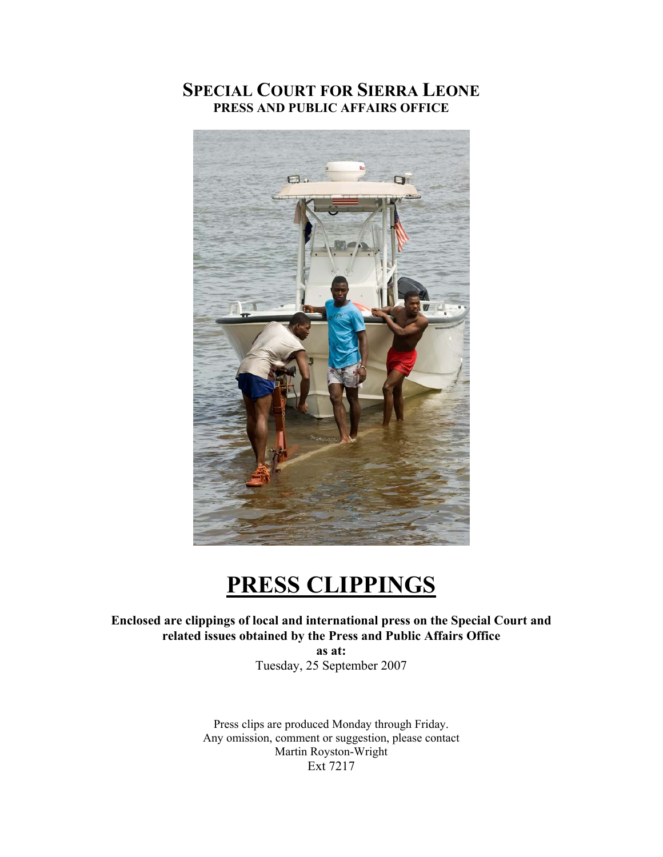# **SPECIAL COURT FOR SIERRA LEONE PRESS AND PUBLIC AFFAIRS OFFICE**



# **PRESS CLIPPINGS**

#### **Enclosed are clippings of local and international press on the Special Court and related issues obtained by the Press and Public Affairs Office**

**as at:**  Tuesday, 25 September 2007

Press clips are produced Monday through Friday. Any omission, comment or suggestion, please contact Martin Royston-Wright Ext 7217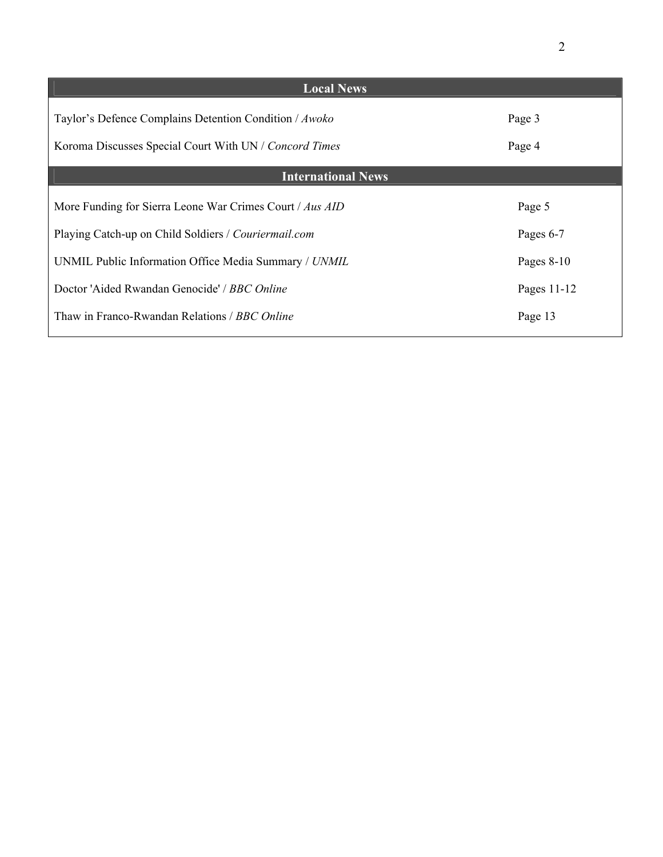| <b>Local News</b>                                        |              |
|----------------------------------------------------------|--------------|
| Taylor's Defence Complains Detention Condition / Awoko   | Page 3       |
| Koroma Discusses Special Court With UN / Concord Times   | Page 4       |
| <b>International News</b>                                |              |
| More Funding for Sierra Leone War Crimes Court / Aus AID | Page 5       |
| Playing Catch-up on Child Soldiers / Couriermail.com     | Pages 6-7    |
| UNMIL Public Information Office Media Summary / UNMIL    | Pages $8-10$ |
| Doctor 'Aided Rwandan Genocide' / BBC Online             | Pages 11-12  |
| Thaw in Franco-Rwandan Relations / BBC Online            | Page 13      |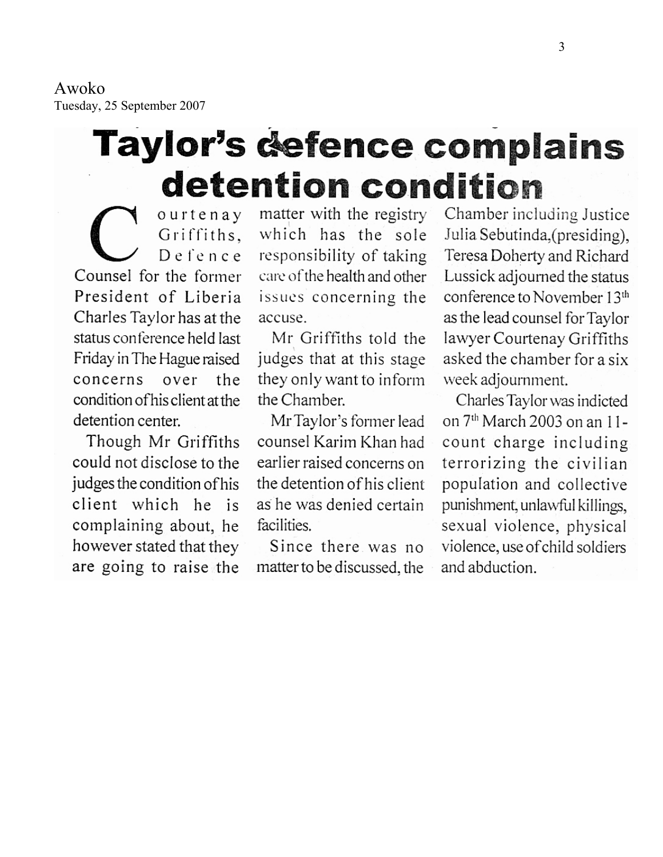Awoko

Tuesday, 25 September 2007

# Taylor's defence complains detention condition

ourtenay Griffiths. Defence Counsel for the former President of Liberia Charles Taylor has at the status conference held last Friday in The Hague raised over concerns the condition of his client at the detention center.

Though Mr Griffiths could not disclose to the judges the condition of his client which he is complaining about, he however stated that they are going to raise the matter with the registry which has the sole responsibility of taking care of the health and other issues concerning the accuse.

Mr Griffiths told the judges that at this stage they only want to inform the Chamber.

Mr Taylor's former lead counsel Karim Khan had earlier raised concerns on the detention of his client as he was denied certain facilities.

Since there was no matter to be discussed, the Chamber including Justice Julia Sebutinda, (presiding), Teresa Doherty and Richard Lussick adjourned the status conference to November 13th as the lead counsel for Taylor lawyer Courtenay Griffiths asked the chamber for a six week adjournment.

Charles Taylor was indicted on 7<sup>th</sup> March 2003 on an 11count charge including terrorizing the civilian population and collective punishment, unlawful killings, sexual violence, physical violence, use of child soldiers and abduction.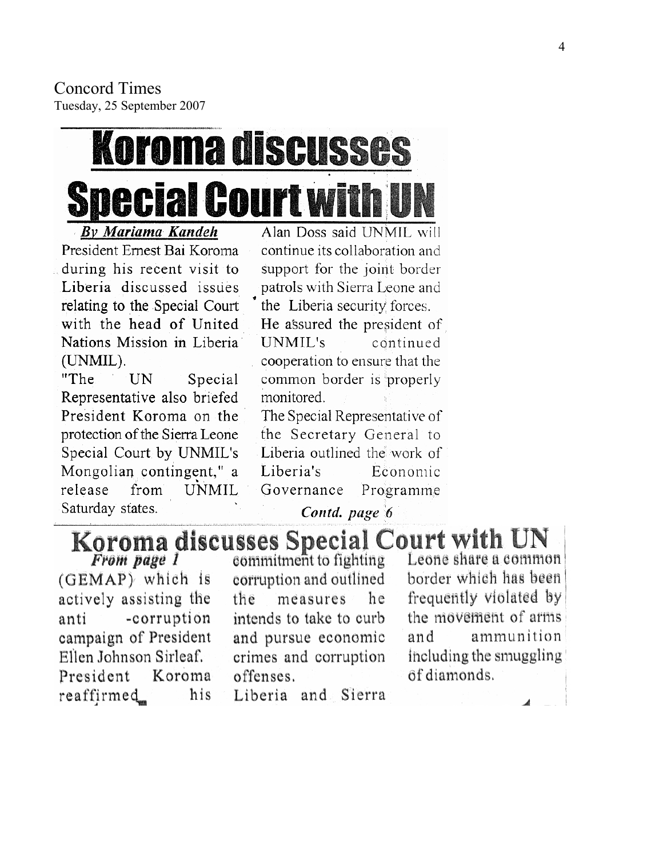Concord Times Tuesday, 25 September 2007

# Koroma discusses ecial Court with

# By Mariama Kandeh

President Ernest Bai Koroma during his recent visit to Liberia discussed issues relating to the Special Court with the head of United Nations Mission in Liberia (UNMIL).

"The UN. Special Representative also briefed President Koroma on the protection of the Sierra Leone Special Court by UNMIL's Mongolian contingent," a **UNMIL** release from Saturday states.

Alan Doss said UNMIL will continue its collaboration and support for the joint border patrols with Sierra Leone and the Liberia security forces. He assured the president of UNMIL's continued cooperation to ensure that the common border is properly monitored. The Special Representative of the Secretary General to Liberia outlined the work of

Liberia's Economic

Governance Programme

# Contd. page 6

# Koroma discusses Special Court with UN

From page 1 (GEMAP) which is actively assisting the -corruption anti campaign of President Ellen Johnson Sirleaf. Koroma President reaffirmed his commitment to fighting corruption and outlined the measures he intends to take to curb and pursue economic crimes and corruption offenses.

Liberia and Sierra

Leone share a common border which has been frequently violated by the movement of arms ammunition and including the smuggling of diamonds.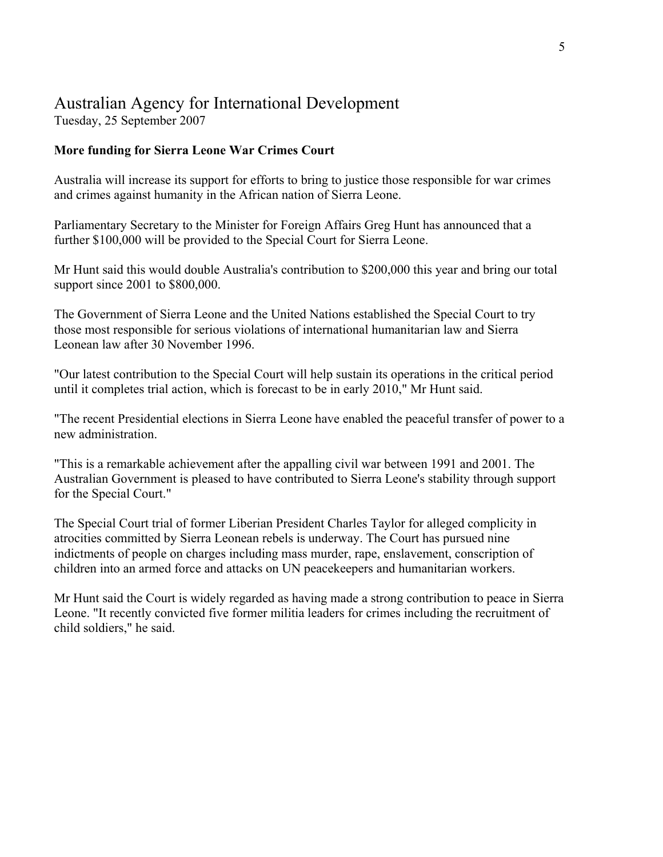# Australian Agency for International Development Tuesday, 25 September 2007

#### **More funding for Sierra Leone War Crimes Court**

Australia will increase its support for efforts to bring to justice those responsible for war crimes and crimes against humanity in the African nation of Sierra Leone.

Parliamentary Secretary to the Minister for Foreign Affairs Greg Hunt has announced that a further \$100,000 will be provided to the Special Court for Sierra Leone.

Mr Hunt said this would double Australia's contribution to \$200,000 this year and bring our total support since 2001 to \$800,000.

The Government of Sierra Leone and the United Nations established the Special Court to try those most responsible for serious violations of international humanitarian law and Sierra Leonean law after 30 November 1996.

"Our latest contribution to the Special Court will help sustain its operations in the critical period until it completes trial action, which is forecast to be in early 2010," Mr Hunt said.

"The recent Presidential elections in Sierra Leone have enabled the peaceful transfer of power to a new administration.

"This is a remarkable achievement after the appalling civil war between 1991 and 2001. The Australian Government is pleased to have contributed to Sierra Leone's stability through support for the Special Court."

The Special Court trial of former Liberian President Charles Taylor for alleged complicity in atrocities committed by Sierra Leonean rebels is underway. The Court has pursued nine indictments of people on charges including mass murder, rape, enslavement, conscription of children into an armed force and attacks on UN peacekeepers and humanitarian workers.

Mr Hunt said the Court is widely regarded as having made a strong contribution to peace in Sierra Leone. "It recently convicted five former militia leaders for crimes including the recruitment of child soldiers," he said.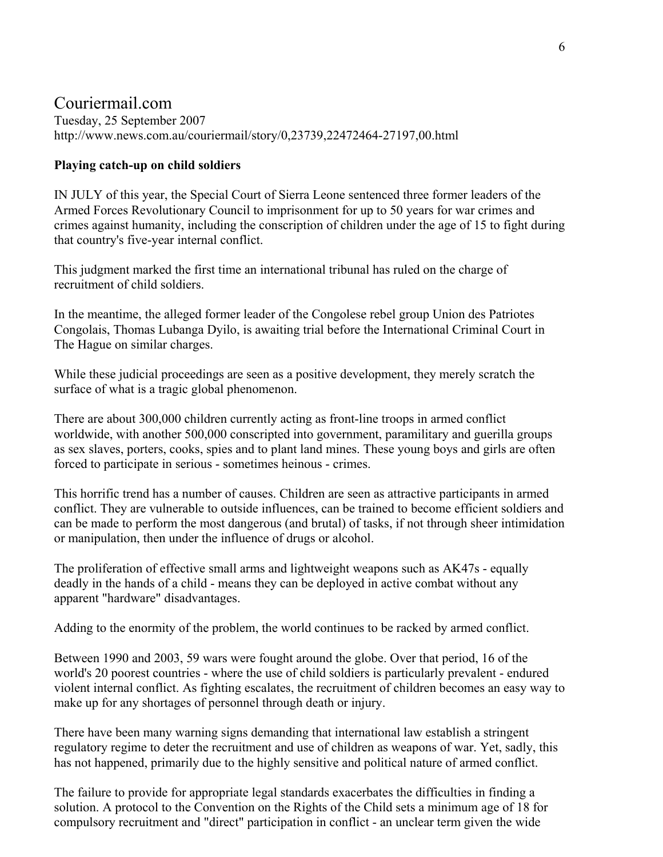# Couriermail.com

Tuesday, 25 September 2007 http://www.news.com.au/couriermail/story/0,23739,22472464-27197,00.html

## **Playing catch-up on child soldiers**

IN JULY of this year, the Special Court of Sierra Leone sentenced three former leaders of the Armed Forces Revolutionary Council to imprisonment for up to 50 years for war crimes and crimes against humanity, including the conscription of children under the age of 15 to fight during that country's five-year internal conflict.

This judgment marked the first time an international tribunal has ruled on the charge of recruitment of child soldiers.

In the meantime, the alleged former leader of the Congolese rebel group Union des Patriotes Congolais, Thomas Lubanga Dyilo, is awaiting trial before the International Criminal Court in The Hague on similar charges.

While these judicial proceedings are seen as a positive development, they merely scratch the surface of what is a tragic global phenomenon.

There are about 300,000 children currently acting as front-line troops in armed conflict worldwide, with another 500,000 conscripted into government, paramilitary and guerilla groups as sex slaves, porters, cooks, spies and to plant land mines. These young boys and girls are often forced to participate in serious - sometimes heinous - crimes.

This horrific trend has a number of causes. Children are seen as attractive participants in armed conflict. They are vulnerable to outside influences, can be trained to become efficient soldiers and can be made to perform the most dangerous (and brutal) of tasks, if not through sheer intimidation or manipulation, then under the influence of drugs or alcohol.

The proliferation of effective small arms and lightweight weapons such as AK47s - equally deadly in the hands of a child - means they can be deployed in active combat without any apparent "hardware" disadvantages.

Adding to the enormity of the problem, the world continues to be racked by armed conflict.

Between 1990 and 2003, 59 wars were fought around the globe. Over that period, 16 of the world's 20 poorest countries - where the use of child soldiers is particularly prevalent - endured violent internal conflict. As fighting escalates, the recruitment of children becomes an easy way to make up for any shortages of personnel through death or injury.

There have been many warning signs demanding that international law establish a stringent regulatory regime to deter the recruitment and use of children as weapons of war. Yet, sadly, this has not happened, primarily due to the highly sensitive and political nature of armed conflict.

The failure to provide for appropriate legal standards exacerbates the difficulties in finding a solution. A protocol to the Convention on the Rights of the Child sets a minimum age of 18 for compulsory recruitment and "direct" participation in conflict - an unclear term given the wide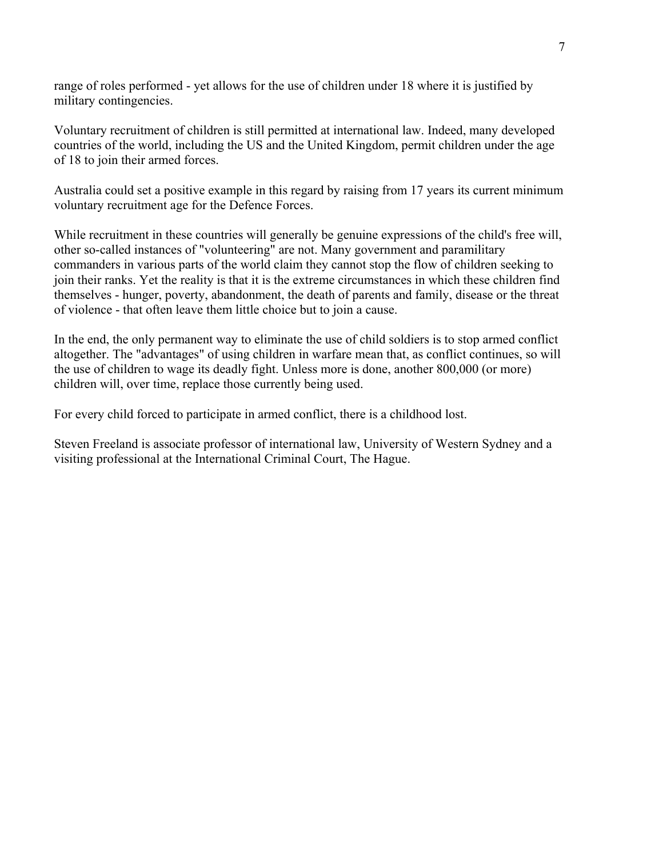range of roles performed - yet allows for the use of children under 18 where it is justified by military contingencies.

Voluntary recruitment of children is still permitted at international law. Indeed, many developed countries of the world, including the US and the United Kingdom, permit children under the age of 18 to join their armed forces.

Australia could set a positive example in this regard by raising from 17 years its current minimum voluntary recruitment age for the Defence Forces.

While recruitment in these countries will generally be genuine expressions of the child's free will, other so-called instances of "volunteering" are not. Many government and paramilitary commanders in various parts of the world claim they cannot stop the flow of children seeking to join their ranks. Yet the reality is that it is the extreme circumstances in which these children find themselves - hunger, poverty, abandonment, the death of parents and family, disease or the threat of violence - that often leave them little choice but to join a cause.

In the end, the only permanent way to eliminate the use of child soldiers is to stop armed conflict altogether. The "advantages" of using children in warfare mean that, as conflict continues, so will the use of children to wage its deadly fight. Unless more is done, another 800,000 (or more) children will, over time, replace those currently being used.

For every child forced to participate in armed conflict, there is a childhood lost.

Steven Freeland is associate professor of international law, University of Western Sydney and a visiting professional at the International Criminal Court, The Hague.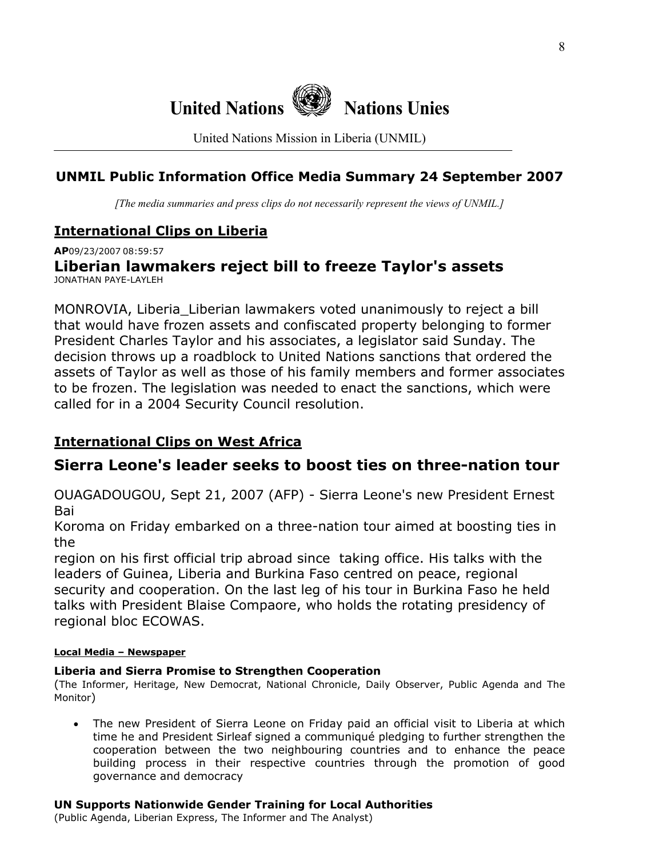

United Nations Mission in Liberia (UNMIL)

# **UNMIL Public Information Office Media Summary 24 September 2007**

*[The media summaries and press clips do not necessarily represent the views of UNMIL.]*

# **International Clips on Liberia**

**AP**09/23/2007 08:59:57

### **Liberian lawmakers reject bill to freeze Taylor's assets**  JONATHAN PAYE-LAYLEH

MONROVIA, Liberia Liberian lawmakers voted unanimously to reject a bill that would have frozen assets and confiscated property belonging to former President Charles Taylor and his associates, a legislator said Sunday. The decision throws up a roadblock to United Nations sanctions that ordered the assets of Taylor as well as those of his family members and former associates to be frozen. The legislation was needed to enact the sanctions, which were called for in a 2004 Security Council resolution.

# **International Clips on West Africa**

# **Sierra Leone's leader seeks to boost ties on three-nation tour**

OUAGADOUGOU, Sept 21, 2007 (AFP) - Sierra Leone's new President Ernest Bai

Koroma on Friday embarked on a three-nation tour aimed at boosting ties in the

region on his first official trip abroad since taking office. His talks with the leaders of Guinea, Liberia and Burkina Faso centred on peace, regional security and cooperation. On the last leg of his tour in Burkina Faso he held talks with President Blaise Compaore, who holds the rotating presidency of regional bloc ECOWAS.

#### **Local Media – Newspaper**

#### **Liberia and Sierra Promise to Strengthen Cooperation**

(The Informer, Heritage, New Democrat, National Chronicle, Daily Observer, Public Agenda and The Monitor)

• The new President of Sierra Leone on Friday paid an official visit to Liberia at which time he and President Sirleaf signed a communiqué pledging to further strengthen the cooperation between the two neighbouring countries and to enhance the peace building process in their respective countries through the promotion of good governance and democracy

#### **UN Supports Nationwide Gender Training for Local Authorities**

(Public Agenda, Liberian Express, The Informer and The Analyst)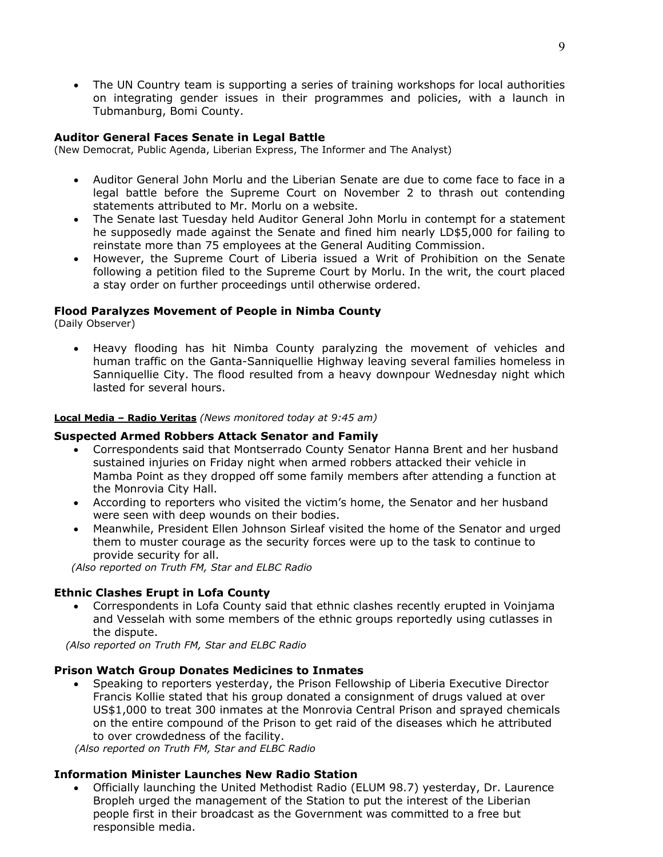• The UN Country team is supporting a series of training workshops for local authorities on integrating gender issues in their programmes and policies, with a launch in Tubmanburg, Bomi County.

#### **Auditor General Faces Senate in Legal Battle**

(New Democrat, Public Agenda, Liberian Express, The Informer and The Analyst)

- Auditor General John Morlu and the Liberian Senate are due to come face to face in a legal battle before the Supreme Court on November 2 to thrash out contending statements attributed to Mr. Morlu on a website.
- The Senate last Tuesday held Auditor General John Morlu in contempt for a statement he supposedly made against the Senate and fined him nearly LD\$5,000 for failing to reinstate more than 75 employees at the General Auditing Commission.
- However, the Supreme Court of Liberia issued a Writ of Prohibition on the Senate following a petition filed to the Supreme Court by Morlu. In the writ, the court placed a stay order on further proceedings until otherwise ordered.

#### **Flood Paralyzes Movement of People in Nimba County**

(Daily Observer)

• Heavy flooding has hit Nimba County paralyzing the movement of vehicles and human traffic on the Ganta-Sanniquellie Highway leaving several families homeless in Sanniquellie City. The flood resulted from a heavy downpour Wednesday night which lasted for several hours.

#### **Local Media – Radio Veritas** *(News monitored today at 9:45 am)*

#### **Suspected Armed Robbers Attack Senator and Family**

- Correspondents said that Montserrado County Senator Hanna Brent and her husband sustained injuries on Friday night when armed robbers attacked their vehicle in Mamba Point as they dropped off some family members after attending a function at the Monrovia City Hall.
- According to reporters who visited the victim's home, the Senator and her husband were seen with deep wounds on their bodies.
- Meanwhile, President Ellen Johnson Sirleaf visited the home of the Senator and urged them to muster courage as the security forces were up to the task to continue to provide security for all.

 *(Also reported on Truth FM, Star and ELBC Radio*

#### **Ethnic Clashes Erupt in Lofa County**

• Correspondents in Lofa County said that ethnic clashes recently erupted in Voinjama and Vesselah with some members of the ethnic groups reportedly using cutlasses in the dispute.

*(Also reported on Truth FM, Star and ELBC Radio*

#### **Prison Watch Group Donates Medicines to Inmates**

• Speaking to reporters yesterday, the Prison Fellowship of Liberia Executive Director Francis Kollie stated that his group donated a consignment of drugs valued at over US\$1,000 to treat 300 inmates at the Monrovia Central Prison and sprayed chemicals on the entire compound of the Prison to get raid of the diseases which he attributed to over crowdedness of the facility.

 *(Also reported on Truth FM, Star and ELBC Radio*

#### **Information Minister Launches New Radio Station**

• Officially launching the United Methodist Radio (ELUM 98.7) yesterday, Dr. Laurence Bropleh urged the management of the Station to put the interest of the Liberian people first in their broadcast as the Government was committed to a free but responsible media.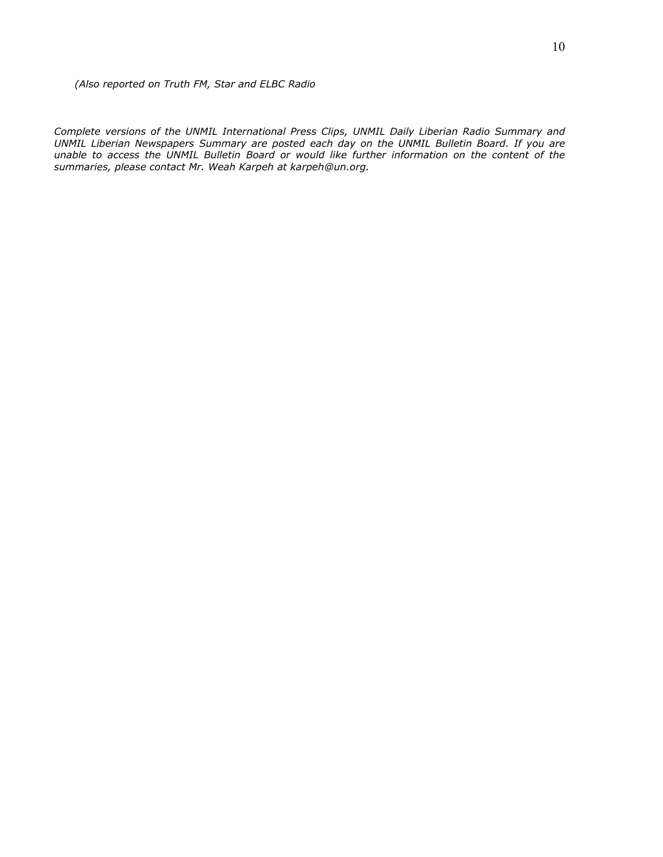*(Also reported on Truth FM, Star and ELBC Radio*

*Complete versions of the UNMIL International Press Clips, UNMIL Daily Liberian Radio Summary and UNMIL Liberian Newspapers Summary are posted each day on the UNMIL Bulletin Board. If you are unable to access the UNMIL Bulletin Board or would like further information on the content of the summaries, please contact Mr. Weah Karpeh at karpeh@un.org.*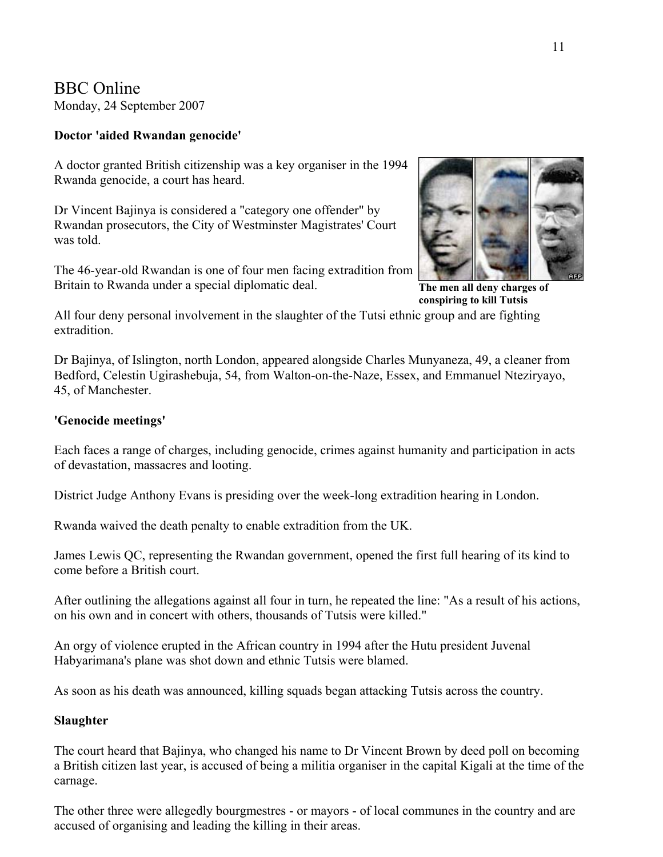# BBC Online

Monday, 24 September 2007

# **Doctor 'aided Rwandan genocide'**

A doctor granted British citizenship was a key organiser in the 1994 Rwanda genocide, a court has heard.

Dr Vincent Bajinya is considered a "category one offender" by Rwandan prosecutors, the City of Westminster Magistrates' Court was told.

The 46-year-old Rwandan is one of four men facing extradition from Britain to Rwanda under a special diplomatic deal.



**The men all deny charges of conspiring to kill Tutsis** 

All four deny personal involvement in the slaughter of the Tutsi ethnic group and are fighting extradition.

Dr Bajinya, of Islington, north London, appeared alongside Charles Munyaneza, 49, a cleaner from Bedford, Celestin Ugirashebuja, 54, from Walton-on-the-Naze, Essex, and Emmanuel Nteziryayo, 45, of Manchester.

# **'Genocide meetings'**

Each faces a range of charges, including genocide, crimes against humanity and participation in acts of devastation, massacres and looting.

District Judge Anthony Evans is presiding over the week-long extradition hearing in London.

Rwanda waived the death penalty to enable extradition from the UK.

James Lewis QC, representing the Rwandan government, opened the first full hearing of its kind to come before a British court.

After outlining the allegations against all four in turn, he repeated the line: "As a result of his actions, on his own and in concert with others, thousands of Tutsis were killed."

An orgy of violence erupted in the African country in 1994 after the Hutu president Juvenal Habyarimana's plane was shot down and ethnic Tutsis were blamed.

As soon as his death was announced, killing squads began attacking Tutsis across the country.

# **Slaughter**

The court heard that Bajinya, who changed his name to Dr Vincent Brown by deed poll on becoming a British citizen last year, is accused of being a militia organiser in the capital Kigali at the time of the carnage.

The other three were allegedly bourgmestres - or mayors - of local communes in the country and are accused of organising and leading the killing in their areas.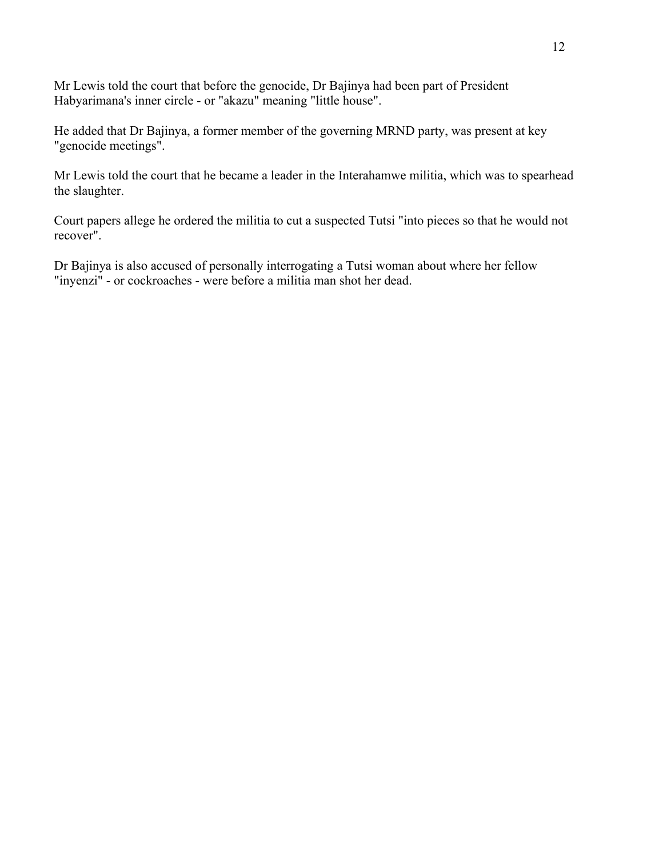Mr Lewis told the court that before the genocide, Dr Bajinya had been part of President Habyarimana's inner circle - or "akazu" meaning "little house".

He added that Dr Bajinya, a former member of the governing MRND party, was present at key "genocide meetings".

Mr Lewis told the court that he became a leader in the Interahamwe militia, which was to spearhead the slaughter.

Court papers allege he ordered the militia to cut a suspected Tutsi "into pieces so that he would not recover".

Dr Bajinya is also accused of personally interrogating a Tutsi woman about where her fellow "inyenzi" - or cockroaches - were before a militia man shot her dead.